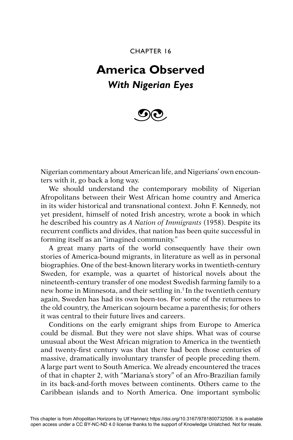CHAPTER 16

## **America Observed** *With Nigerian Eyes*



Nigerian commentary about American life, and Nigerians' own encounters with it, go back a long way.

We should understand the contemporary mobility of Nigerian Afropolitans between their West African home country and America in its wider historical and transnational context. John F. Kennedy, not yet president, himself of noted Irish ancestry, wrote a book in which he described his country as *A Nation of Immigrants* (1958). Despite its recurrent conflicts and divides, that nation has been quite successful in forming itself as an "imagined community."

A great many parts of the world consequently have their own stories of America-bound migrants, in literature as well as in personal biographies. One of the best-known literary works in twentieth-century Sweden, for example, was a quartet of historical novels about the nineteenth-century transfer of one modest Swedish farming family to a new home in Minnesota, and their settling in.<sup>1</sup> In the twentieth century again, Sweden has had its own been-tos. For some of the returnees to the old country, the American sojourn became a parenthesis; for others it was central to their future lives and careers.

Conditions on the early emigrant ships from Europe to America could be dismal. But they were not slave ships. What was of course unusual about the West African migration to America in the twentieth and twenty-first century was that there had been those centuries of massive, dramatically involuntary transfer of people preceding them. A large part went to South America. We already encountered the traces of that in chapter 2, with "Mariana's story" of an Afro-Brazilian family in its back-and-forth moves between continents. Others came to the Caribbean islands and to North America. One important symbolic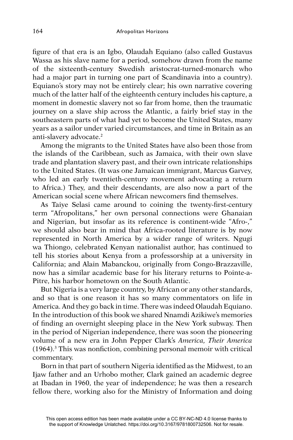figure of that era is an Igbo, Olaudah Equiano (also called Gustavus Wassa as his slave name for a period, somehow drawn from the name of the sixteenth-century Swedish aristocrat-turned-monarch who had a major part in turning one part of Scandinavia into a country). Equiano's story may not be entirely clear; his own narrative covering much of the latter half of the eighteenth century includes his capture, a moment in domestic slavery not so far from home, then the traumatic journey on a slave ship across the Atlantic, a fairly brief stay in the southeastern parts of what had yet to become the United States, many years as a sailor under varied circumstances, and time in Britain as an anti-slavery advocate.2

Among the migrants to the United States have also been those from the islands of the Caribbean, such as Jamaica, with their own slave trade and plantation slavery past, and their own intricate relationships to the United States. (It was one Jamaican immigrant, Marcus Garvey, who led an early twentieth-century movement advocating a return to Africa.) They, and their descendants, are also now a part of the American social scene where African newcomers find themselves.

As Taive Selasi came around to coining the twenty-first-century term "Afropolitans," her own personal connections were Ghanaian and Nigerian, but insofar as its reference is continent-wide "Afro-," we should also bear in mind that Africa-rooted literature is by now represented in North America by a wider range of writers. Ngugi wa Thiongo, celebrated Kenyan nationalist author, has continued to tell his stories about Kenya from a professorship at a university in California; and Alain Mabanckou, originally from Congo-Brazzaville, now has a similar academic base for his literary returns to Pointe-a-Pitre, his harbor hometown on the South Atlantic.

But Nigeria is a very large country, by African or any other standards, and so that is one reason it has so many commentators on life in America. And they go back in time. There was indeed Olaudah Equiano. In the introduction of this book we shared Nnamdi Azikiwe's memories of finding an overnight sleeping place in the New York subway. Then in the period of Nigerian independence, there was soon the pioneering volume of a new era in John Pepper Clark's *America, Their America*   $(1964).$ <sup>3</sup> This was nonfiction, combining personal memoir with critical commentary.

Born in that part of southern Nigeria identified as the Midwest, to an Ijaw father and an Urhobo mother, Clark gained an academic degree at Ibadan in 1960, the year of independence; he was then a research fellow there, working also for the Ministry of Information and doing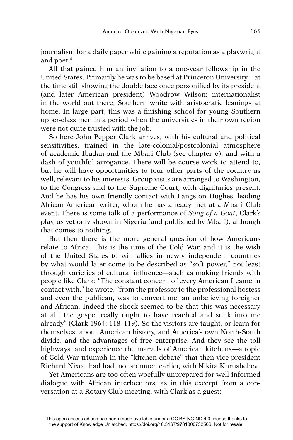journalism for a daily paper while gaining a reputation as a playwright and poet.<sup>4</sup>

All that gained him an invitation to a one-year fellowship in the United States. Primarily he was to be based at Princeton University—at the time still showing the double face once personified by its president (and later American president) Woodrow Wilson: internationalist in the world out there, Southern white with aristocratic leanings at home. In large part, this was a finishing school for young Southern upper-class men in a period when the universities in their own region were not quite trusted with the job.

So here John Pepper Clark arrives, with his cultural and political sensitivities, trained in the late-colonial/postcolonial atmosphere of academic Ibadan and the Mbari Club (see chapter 6), and with a dash of youthful arrogance. There will be course work to attend to, but he will have opportunities to tour other parts of the country as well, relevant to his interests. Group visits are arranged to Washington, to the Congress and to the Supreme Court, with dignitaries present. And he has his own friendly contact with Langston Hughes, leading African American writer, whom he has already met at a Mbari Club event. There is some talk of a performance of *Song of a Goat*, Clark's play, as yet only shown in Nigeria (and published by Mbari), although that comes to nothing.

But then there is the more general question of how Americans relate to Africa. This is the time of the Cold War, and it is the wish of the United States to win allies in newly independent countries by what would later come to be described as "soft power," not least through varieties of cultural influence—such as making friends with people like Clark: "The constant concern of every American I came in contact with," he wrote, "from the professor to the professional hostess and even the publican, was to convert me, an unbelieving foreigner and African. Indeed the shock seemed to be that this was necessary at all; the gospel really ought to have reached and sunk into me already" (Clark 1964: 118–119). So the visitors are taught, or learn for themselves, about American history, and America's own North-South divide, and the advantages of free enterprise. And they see the toll highways, and experience the marvels of American kitchens—a topic of Cold War triumph in the "kitchen debate" that then vice president Richard Nixon had had, not so much earlier, with Nikita Khrushchev.

Yet Americans are too often woefully unprepared for well-informed dialogue with African interlocutors, as in this excerpt from a conversation at a Rotary Club meeting, with Clark as a guest: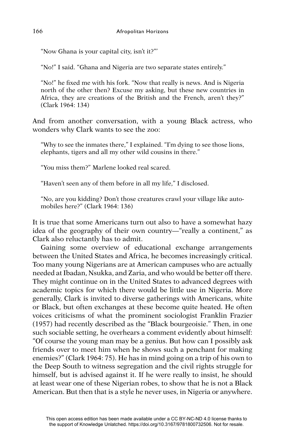"Now Ghana is your capital city, isn't it?"'

"No!" I said. "Ghana and Nigeria are two separate states entirely."

"No!" he fixed me with his fork. "Now that really is news. And is Nigeria north of the other then? Excuse my asking, but these new countries in Africa, they are creations of the British and the French, aren't they?" (Clark 1964: 134)

And from another conversation, with a young Black actress, who wonders why Clark wants to see the zoo:

"Why to see the inmates there," I explained. "I'm dying to see those lions, elephants, tigers and all my other wild cousins in there."

"You miss them?" Marlene looked real scared.

"Haven't seen any of them before in all my life," I disclosed.

"No, are you kidding? Don't those creatures crawl your village like automobiles here?" (Clark 1964: 136)

It is true that some Americans turn out also to have a somewhat hazy idea of the geography of their own country—"really a continent," as Clark also reluctantly has to admit.

Gaining some overview of educational exchange arrangements between the United States and Africa, he becomes increasingly critical. Too many young Nigerians are at American campuses who are actually needed at Ibadan, Nsukka, and Zaria, and who would be better off there. They might continue on in the United States to advanced degrees with academic topics for which there would be little use in Nigeria. More generally, Clark is invited to diverse gatherings with Americans, white or Black, but often exchanges at these become quite heated. He often voices criticisms of what the prominent sociologist Franklin Frazier (1957) had recently described as the "Black bourgeoisie." Then, in one such sociable setting, he overhears a comment evidently about himself: "Of course the young man may be a genius. But how can I possibly ask friends over to meet him when he shows such a penchant for making enemies?" (Clark 1964: 75). He has in mind going on a trip of his own to the Deep South to witness segregation and the civil rights struggle for himself, but is advised against it. If he were really to insist, he should at least wear one of these Nigerian robes, to show that he is not a Black American. But then that is a style he never uses, in Nigeria or anywhere.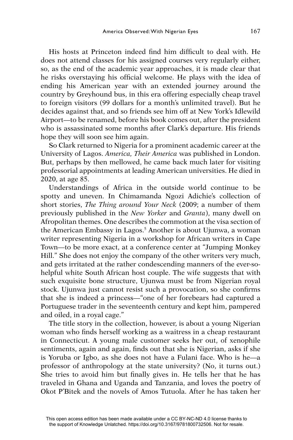His hosts at Princeton indeed find him difficult to deal with. He does not attend classes for his assigned courses very regularly either, so, as the end of the academic year approaches, it is made clear that he risks overstaying his official welcome. He plays with the idea of ending his American year with an extended journey around the country by Greyhound bus, in this era offering especially cheap travel to foreign visitors (99 dollars for a month's unlimited travel). But he decides against that, and so friends see him off at New York's Idlewild Airport—to be renamed, before his book comes out, after the president who is assassinated some months after Clark's departure. His friends hope they will soon see him again.

So Clark returned to Nigeria for a prominent academic career at the University of Lagos. *America, Their America* was published in London. But, perhaps by then mellowed, he came back much later for visiting professorial appointments at leading American universities. He died in 2020, at age 85.

Understandings of Africa in the outside world continue to be spotty and uneven. In Chimamanda Ngozi Adichie's collection of short stories, *The Thing around Your Neck* (2009; a number of them previously published in the *New Yorker* and *Granta*), many dwell on Afropolitan themes. One describes the commotion at the visa section of the American Embassy in Lagos.<sup>5</sup> Another is about Ujunwa, a woman writer representing Nigeria in a workshop for African writers in Cape Town—to be more exact, at a conference center at "Jumping Monkey Hill." She does not enjoy the company of the other writers very much, and gets irritated at the rather condescending manners of the ever-sohelpful white South African host couple. The wife suggests that with such exquisite bone structure, Ujunwa must be from Nigerian royal stock. Ujunwa just cannot resist such a provocation, so she confirms that she is indeed a princess—"one of her forebears had captured a Portuguese trader in the seventeenth century and kept him, pampered and oiled, in a royal cage."

The title story in the collection, however, is about a young Nigerian woman who finds herself working as a waitress in a cheap restaurant in Connecticut. A young male customer seeks her out, of xenophile sentiments, again and again, finds out that she is Nigerian, asks if she is Yoruba or Igbo, as she does not have a Fulani face. Who is he—a professor of anthropology at the state university? (No, it turns out.) She tries to avoid him but finally gives in. He tells her that he has traveled in Ghana and Uganda and Tanzania, and loves the poetry of Okot P'Bitek and the novels of Amos Tutuola. After he has taken her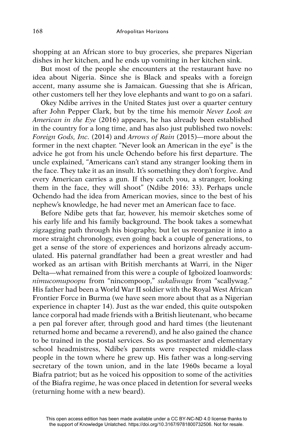shopping at an African store to buy groceries, she prepares Nigerian dishes in her kitchen, and he ends up vomiting in her kitchen sink.

But most of the people she encounters at the restaurant have no idea about Nigeria. Since she is Black and speaks with a foreign accent, many assume she is Jamaican. Guessing that she is African, other customers tell her they love elephants and want to go on a safari.

Okey Ndibe arrives in the United States just over a quarter century after John Pepper Clark, but by the time his memoir *Never Look an American in the Eye* (2016) appears, he has already been established in the country for a long time, and has also just published two novels: *Foreign Gods, Inc.* (2014) and *Arrows of Rain* (2015)—more about the former in the next chapter. "Never look an American in the eye" is the advice he got from his uncle Ochendo before his first departure. The uncle explained, "Americans can't stand any stranger looking them in the face. They take it as an insult. It's something they don't forgive. And every American carries a gun. If they catch you, a stranger, looking them in the face, they will shoot" (Ndibe 2016: 33). Perhaps uncle Ochendo had the idea from American movies, since to the best of his nephew's knowledge, he had never met an American face to face.

Before Ndibe gets that far, however, his memoir sketches some of his early life and his family background. The book takes a somewhat zigzagging path through his biography, but let us reorganize it into a more straight chronology, even going back a couple of generations, to get a sense of the store of experiences and horizons already accumulated. His paternal grandfather had been a great wrestler and had worked as an artisan with British merchants at Warri, in the Niger Delta—what remained from this were a couple of Igboized loanwords: *nimucomupoopu* from "nincompoop," *sukaliwagu* from "scallywag." His father had been a World War II soldier with the Royal West African Frontier Force in Burma (we have seen more about that as a Nigerian experience in chapter 14). Just as the war ended, this quite outspoken lance corporal had made friends with a British lieutenant, who became a pen pal forever after, through good and hard times (the lieutenant returned home and became a reverend), and he also gained the chance to be trained in the postal services. So as postmaster and elementary school headmistress, Ndibe's parents were respected middle-class people in the town where he grew up. His father was a long-serving secretary of the town union, and in the late 1960s became a loyal Biafra patriot; but as he voiced his opposition to some of the activities of the Biafra regime, he was once placed in detention for several weeks (returning home with a new beard).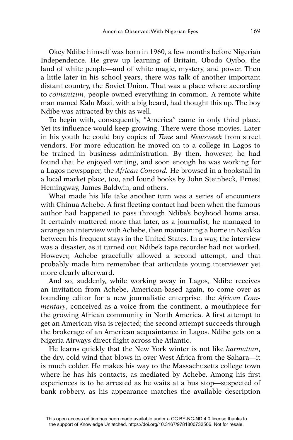Okey Ndibe himself was born in 1960, a few months before Nigerian Independence. He grew up learning of Britain, Obodo Oyibo, the land of white people—and of white magic, mystery, and power. Then a little later in his school years, there was talk of another important distant country, the Soviet Union. That was a place where according to *comanizim*, people owned everything in common. A remote white man named Kalu Mazi, with a big beard, had thought this up. The boy Ndibe was attracted by this as well.

To begin with, consequently, "America" came in only third place. Yet its influence would keep growing. There were those movies. Later in his youth he could buy copies of *Time* and *Newsweek* from street vendors. For more education he moved on to a college in Lagos to be trained in business administration. By then, however, he had found that he enjoyed writing, and soon enough he was working for a Lagos newspaper, the *African Concord.* He browsed in a bookstall in a local market place, too, and found books by John Steinbeck, Ernest Hemingway, James Baldwin, and others.

What made his life take another turn was a series of encounters with Chinua Achebe. A first fleeting contact had been when the famous author had happened to pass through Ndibe's boyhood home area. It certainly mattered more that later, as a journalist, he managed to arrange an interview with Achebe, then maintaining a home in Nsukka between his frequent stays in the United States. In a way, the interview was a disaster, as it turned out Ndibe's tape recorder had not worked. However, Achebe gracefully allowed a second attempt, and that probably made him remember that articulate young interviewer yet more clearly afterward.

And so, suddenly, while working away in Lagos, Ndibe receives an invitation from Achebe, American-based again, to come over as founding editor for a new journalistic enterprise, the *African Commentary*, conceived as a voice from the continent, a mouthpiece for the growing African community in North America. A first attempt to get an American visa is rejected; the second attempt succeeds through the brokerage of an American acquaintance in Lagos. Ndibe gets on a Nigeria Airways direct flight across the Atlantic.

He learns quickly that the New York winter is not like *harmattan*, the dry, cold wind that blows in over West Africa from the Sahara—it is much colder. He makes his way to the Massachusetts college town where he has his contacts, as mediated by Achebe. Among his first experiences is to be arrested as he waits at a bus stop—suspected of bank robbery, as his appearance matches the available description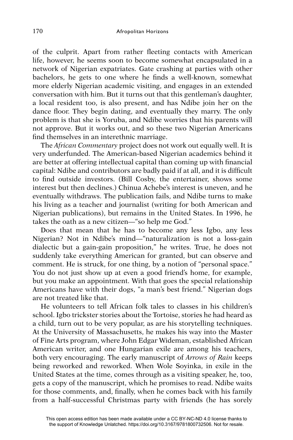of the culprit. Apart from rather fleeting contacts with American life, however, he seems soon to become somewhat encapsulated in a network of Nigerian expatriates. Gate crashing at parties with other bachelors, he gets to one where he finds a well-known, somewhat more elderly Nigerian academic visiting, and engages in an extended conversation with him. But it turns out that this gentleman's daughter, a local resident too, is also present, and has Ndibe join her on the dance floor. They begin dating, and eventually they marry. The only problem is that she is Yoruba, and Ndibe worries that his parents will not approve. But it works out, and so these two Nigerian Americans find themselves in an interethnic marriage.

The *African Commentary* project does not work out equally well. It is very underfunded. The American-based Nigerian academics behind it are better at offering intellectual capital than coming up with financial capital: Ndibe and contributors are badly paid if at all, and it is difficult to find outside investors. (Bill Cosby, the entertainer, shows some interest but then declines.) Chinua Achebe's interest is uneven, and he eventually withdraws. The publication fails, and Ndibe turns to make his living as a teacher and journalist (writing for both American and Nigerian publications), but remains in the United States. In 1996, he takes the oath as a new citizen—"so help me God."

Does that mean that he has to become any less Igbo, any less Nigerian? Not in Ndibe's mind—"naturalization is not a loss-gain dialectic but a gain-gain proposition," he writes. True, he does not suddenly take everything American for granted, but can observe and comment. He is struck, for one thing, by a notion of "personal space." You do not just show up at even a good friend's home, for example, but you make an appointment. With that goes the special relationship Americans have with their dogs, "a man's best friend." Nigerian dogs are not treated like that.

He volunteers to tell African folk tales to classes in his children's school. Igbo trickster stories about the Tortoise, stories he had heard as a child, turn out to be very popular, as are his storytelling techniques. At the University of Massachusetts, he makes his way into the Master of Fine Arts program, where John Edgar Wideman, established African American writer, and one Hungarian exile are among his teachers, both very encouraging. The early manuscript of *Arrows of Rain* keeps being reworked and reworked. When Wole Soyinka, in exile in the United States at the time, comes through as a visiting speaker, he, too, gets a copy of the manuscript, which he promises to read. Ndibe waits for those comments, and, finally, when he comes back with his family from a half-successful Christmas party with friends (he has sorely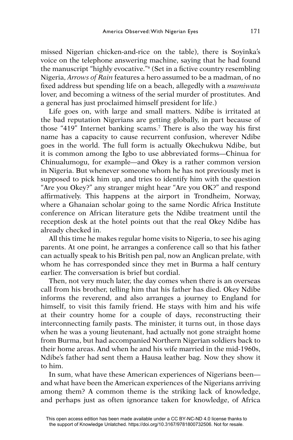missed Nigerian chicken-and-rice on the table), there is Soyinka's voice on the telephone answering machine, saying that he had found the manuscript "highly evocative."<sup>6</sup> (Set in a fictive country resembling Nigeria, *Arrows of Rain* features a hero assumed to be a madman, of no fi xed address but spending life on a beach, allegedly with a *mamiwata*  lover, and becoming a witness of the serial murder of prostitutes. And a general has just proclaimed himself president for life.)

Life goes on, with large and small matters. Ndibe is irritated at the bad reputation Nigerians are getting globally, in part because of those "419" Internet banking scams.<sup>7</sup> There is also the way his first name has a capacity to cause recurrent confusion, wherever Ndibe goes in the world. The full form is actually Okechukwu Ndibe, but it is common among the Igbo to use abbreviated forms—Chinua for Chinualumogu, for example—and Okey is a rather common version in Nigeria. But whenever someone whom he has not previously met is supposed to pick him up, and tries to identify him with the question "Are you Okey?" any stranger might hear "Are you OK?" and respond affirmatively. This happens at the airport in Trondheim, Norway, where a Ghanaian scholar going to the same Nordic Africa Institute conference on African literature gets the Ndibe treatment until the reception desk at the hotel points out that the real Okey Ndibe has already checked in.

All this time he makes regular home visits to Nigeria, to see his aging parents. At one point, he arranges a conference call so that his father can actually speak to his British pen pal, now an Anglican prelate, with whom he has corresponded since they met in Burma a half century earlier. The conversation is brief but cordial.

Then, not very much later, the day comes when there is an overseas call from his brother, telling him that his father has died. Okey Ndibe informs the reverend, and also arranges a journey to England for himself, to visit this family friend. He stays with him and his wife at their country home for a couple of days, reconstructing their interconnecting family pasts. The minister, it turns out, in those days when he was a young lieutenant, had actually not gone straight home from Burma, but had accompanied Northern Nigerian soldiers back to their home areas. And when he and his wife married in the mid-1960s, Ndibe's father had sent them a Hausa leather bag. Now they show it to him.

In sum, what have these American experiences of Nigerians been and what have been the American experiences of the Nigerians arriving among them? A common theme is the striking lack of knowledge, and perhaps just as often ignorance taken for knowledge, of Africa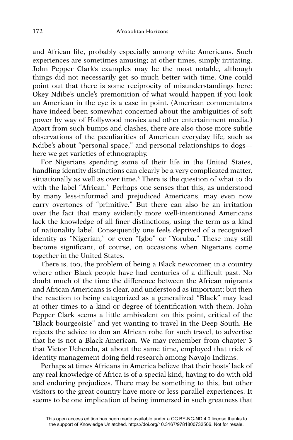and African life, probably especially among white Americans. Such experiences are sometimes amusing; at other times, simply irritating. John Pepper Clark's examples may be the most notable, although things did not necessarily get so much better with time. One could point out that there is some reciprocity of misunderstandings here: Okey Ndibe's uncle's premonition of what would happen if you look an American in the eye is a case in point. (American commentators have indeed been somewhat concerned about the ambiguities of soft power by way of Hollywood movies and other entertainment media.) Apart from such bumps and clashes, there are also those more subtle observations of the peculiarities of American everyday life, such as Ndibe's about "personal space," and personal relationships to dogs here we get varieties of ethnography.

For Nigerians spending some of their life in the United States, handling identity distinctions can clearly be a very complicated matter, situationally as well as over time.<sup>8</sup> There is the question of what to do with the label "African." Perhaps one senses that this, as understood by many less-informed and prejudiced Americans, may even now carry overtones of "primitive." But there can also be an irritation over the fact that many evidently more well-intentioned Americans lack the knowledge of all finer distinctions, using the term as a kind of nationality label. Consequently one feels deprived of a recognized identity as "Nigerian," or even "Igbo" or "Yoruba." These may still become significant, of course, on occasions when Nigerians come together in the United States.

There is, too, the problem of being a Black newcomer, in a country where other Black people have had centuries of a difficult past. No doubt much of the time the difference between the African migrants and African Americans is clear, and understood as important; but then the reaction to being categorized as a generalized "Black" may lead at other times to a kind or degree of identification with them. John Pepper Clark seems a little ambivalent on this point, critical of the "Black bourgeoisie" and yet wanting to travel in the Deep South. He rejects the advice to don an African robe for such travel, to advertise that he is not a Black American. We may remember from chapter 3 that Victor Uchendu, at about the same time, employed that trick of identity management doing field research among Navajo Indians.

Perhaps at times Africans in America believe that their hosts' lack of any real knowledge of Africa is of a special kind, having to do with old and enduring prejudices. There may be something to this, but other visitors to the great country have more or less parallel experiences. It seems to be one implication of being immersed in such greatness that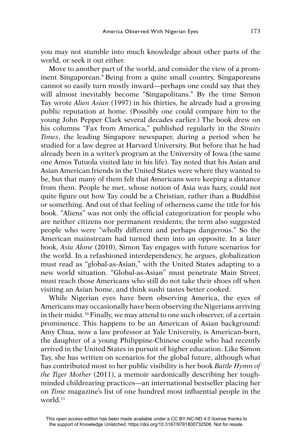you may not stumble into much knowledge about other parts of the world, or seek it out either.

Move to another part of the world, and consider the view of a prominent Singaporean.<sup>9</sup> Being from a quite small country, Singaporeans cannot so easily turn mostly inward—perhaps one could say that they will almost inevitably become "Singapolitans." By the time Simon Tay wrote *Alien Asian* (1997) in his thirties, he already had a growing public reputation at home. (Possibly one could compare him to the young John Pepper Clark several decades earlier.) The book drew on his columns "Fax from America," published regularly in the *Straits Times*, the leading Singapore newspaper, during a period when he studied for a law degree at Harvard University. But before that he had already been in a writer's program at the University of Iowa (the same one Amos Tutuola visited late in his life). Tay noted that his Asian and Asian American friends in the United States were where they wanted to be, but that many of them felt that Americans were keeping a distance from them. People he met, whose notion of Asia was hazy, could not quite figure out how Tay could be a Christian, rather than a Buddhist or something. And out of that feeling of otherness came the title for his book. "Aliens" was not only the official categorization for people who are neither citizens nor permanent residents; the term also suggested people who were "wholly different and perhaps dangerous." So the American mainstream had turned them into an opposite. In a later book, *Asia Alone* (2010), Simon Tay engages with future scenarios for the world. In a refashioned interdependency, he argues, globalization must read as "global-as-Asian," with the United States adapting to a new world situation. "Global-as-Asian" must penetrate Main Street, must reach those Americans who still do not take their shoes off when visiting an Asian home, and think sushi tastes better cooked.

While Nigerian eyes have been observing America, the eyes of Americans may occasionally have been observing the Nigerians arriving in their midst.10 Finally, we may attend to one such observer, of a certain prominence. This happens to be an American of Asian background: Amy Chua, now a law professor at Yale University, is American-born, the daughter of a young Philippine-Chinese couple who had recently arrived in the United States in pursuit of higher education. Like Simon Tay, she has written on scenarios for the global future, although what has contributed most to her public visibility is her book *Battle Hymn of the Tiger Mother* (2011), a memoir sardonically describing her toughminded childrearing practices—an international bestseller placing her on *Time* magazine's list of one hundred most influential people in the world.11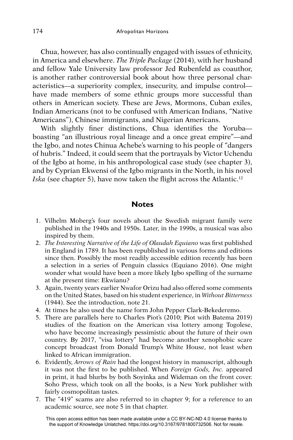Chua, however, has also continually engaged with issues of ethnicity, in America and elsewhere. *The Triple Package* (2014), with her husband and fellow Yale University law professor Jed Rubenfeld as coauthor, is another rather controversial book about how three personal characteristics—a superiority complex, insecurity, and impulse control have made members of some ethnic groups more successful than others in American society. These are Jews, Mormons, Cuban exiles, Indian Americans (not to be confused with American Indians, "Native Americans"), Chinese immigrants, and Nigerian Americans.

With slightly finer distinctions, Chua identifies the Yorubaboasting "an illustrious royal lineage and a once great empire"—and the Igbo, and notes Chinua Achebe's warning to his people of "dangers of hubris." Indeed, it could seem that the portrayals by Victor Uchendu of the Igbo at home, in his anthropological case study (see chapter 3), and by Cyprian Ekwensi of the Igbo migrants in the North, in his novel *Iska* (see chapter 5), have now taken the flight across the Atlantic.<sup>12</sup>

## **Notes**

- 1. Vilhelm Moberg's four novels about the Swedish migrant family were published in the 1940s and 1950s. Later, in the 1990s, a musical was also inspired by them.
- 2. *The Interesting Narrative of the Life of Olaudah Equiano* was first published in England in 1789. It has been republished in various forms and editions since then. Possibly the most readily accessible edition recently has been a selection in a series of Penguin classics (Equiano 2016). One might wonder what would have been a more likely Igbo spelling of the surname at the present time: Ekwianu?
- 3. Again, twenty years earlier Nwafor Orizu had also offered some comments on the United States, based on his student experience, in *Without Bitterness*  (1944). See the introduction, note 21.
- 4. At times he also used the name form John Pepper Clark-Bekederemo.
- 5. There are parallels here to Charles Piot's (2010; Piot with Batema 2019) studies of the fixation on the American visa lottery among Togolese, who have become increasingly pessimistic about the future of their own country. By 2017, "visa lottery" had become another xenophobic scare concept broadcast from Donald Trump's White House, not least when linked to African immigration.
- 6. Evidently, *Arrows of Rain* had the longest history in manuscript, although it was not the first to be published. When *Foreign Gods, Inc.* appeared in print, it had blurbs by both Soyinka and Wideman on the front cover. Soho Press, which took on all the books, is a New York publisher with fairly cosmopolitan tastes.
- 7. The "419" scams are also referred to in chapter 9; for a reference to an academic source, see note 5 in that chapter.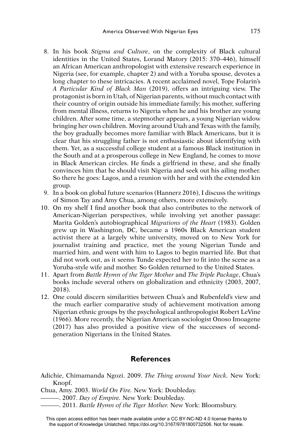- 8. In his book *Stigma and Culture*, on the complexity of Black cultural identities in the United States, Lorand Matory (2015: 370–446), himself an African American anthropologist with extensive research experience in Nigeria (see, for example, chapter 2) and with a Yoruba spouse, devotes a long chapter to these intricacies. A recent acclaimed novel, Tope Folarin's *A Particular Kind of Black Man* (2019), offers an intriguing view. The protagonist is born in Utah, of Nigerian parents, without much contact with their country of origin outside his immediate family; his mother, suffering from mental illness, returns to Nigeria when he and his brother are young children. After some time, a stepmother appears, a young Nigerian widow bringing her own children. Moving around Utah and Texas with the family, the boy gradually becomes more familiar with Black Americans, but it is clear that his struggling father is not enthusiastic about identifying with them. Yet, as a successful college student at a famous Black institution in the South and at a prosperous college in New England, he comes to move in Black American circles. He finds a girlfriend in these, and she finally convinces him that he should visit Nigeria and seek out his ailing mother. So there he goes: Lagos, and a reunion with her and with the extended kin group.
- 9. In a book on global future scenarios (Hannerz 2016), I discuss the writings of Simon Tay and Amy Chua, among others, more extensively.
- 10. On my shelf I find another book that also contributes to the network of American-Nigerian perspectives, while involving yet another passage: Marita Golden's autobiographical *Migrations of the Heart* (1983). Golden grew up in Washington, DC, became a 1960s Black American student activist there at a largely white university, moved on to New York for journalist training and practice, met the young Nigerian Tunde and married him, and went with him to Lagos to begin married life. But that did not work out, as it seems Tunde expected her to fit into the scene as a Yoruba-style wife and mother. So Golden returned to the United States.
- 11. Apart from *Battle Hymn of the Tiger Mother* and *The Triple Package*, Chua's books include several others on globalization and ethnicity (2003, 2007, 2018).
- 12. One could discern similarities between Chua's and Rubenfeld's view and the much earlier comparative study of achievement motivation among Nigerian ethnic groups by the psychological anthropologist Robert LeVine (1966). More recently, the Nigerian American sociologist Onoso Imoagene (2017) has also provided a positive view of the successes of secondgeneration Nigerians in the United States.

## **References**

- Adichie, Chimamanda Ngozi. 2009. *The Thing around Your Neck.* New York: Knopf.
- Chua, Amy. 2003. *World On Fire.* New York: Doubleday.
	- ———. 2007. *Day of Empire.* New York: Doubleday.
		- ———. 2011. *Battle Hymn of the Tiger Mother.* New York: Bloomsbury.

This open access edition has been made available under a CC BY-NC-ND 4.0 license thanks to the support of Knowledge Unlatched. https://doi.org/10.3167/9781800732506. Not for resale.